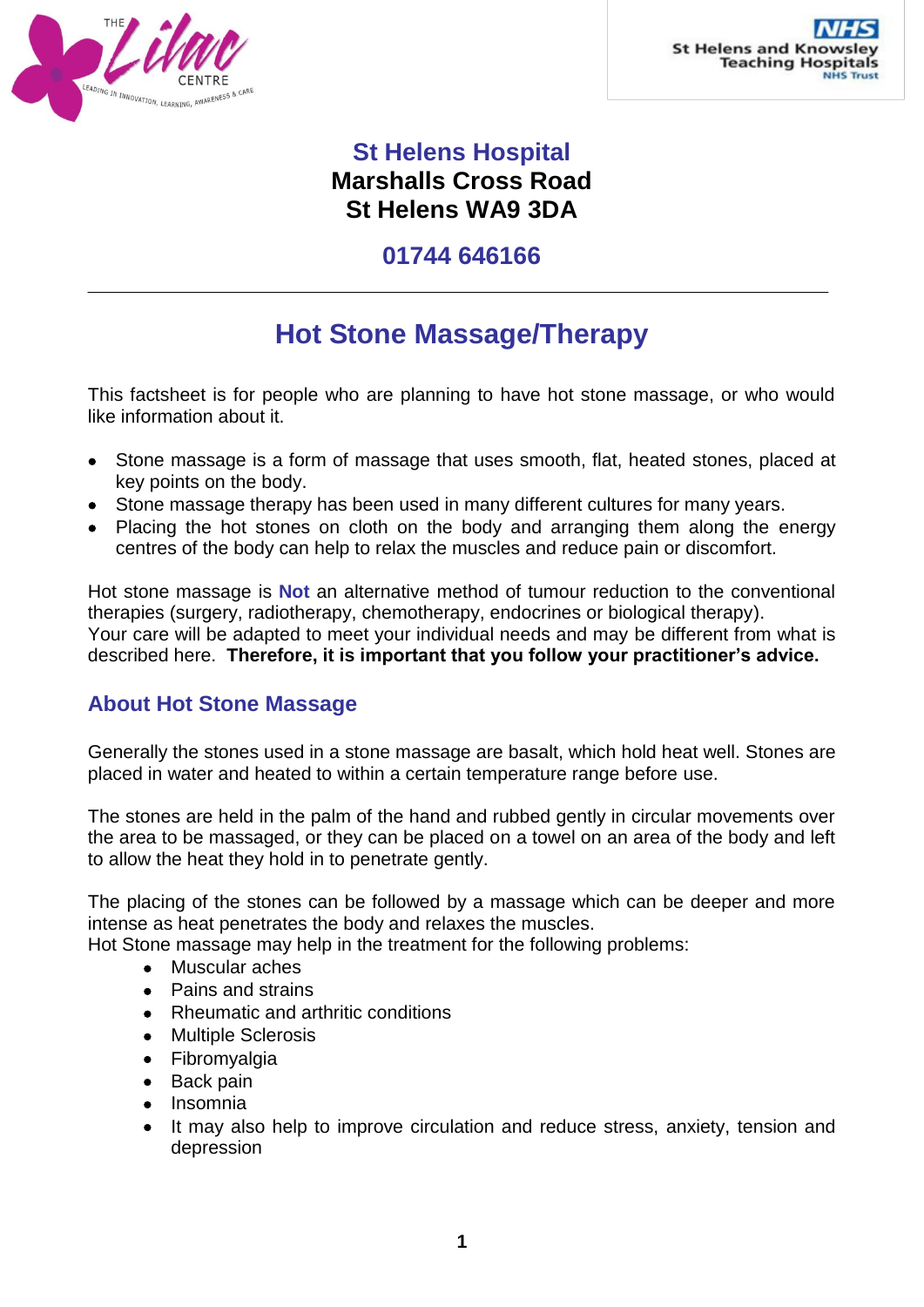

## **St Helens Hospital Marshalls Cross Road St Helens WA9 3DA**

### **01744 646166**

# **Hot Stone Massage/Therapy**

This factsheet is for people who are planning to have hot stone massage, or who would like information about it.

- Stone massage is a form of massage that uses smooth, flat, heated stones, placed at key points on the body.
- Stone massage therapy has been used in many different cultures for many years.
- Placing the hot stones on cloth on the body and arranging them along the energy centres of the body can help to relax the muscles and reduce pain or discomfort.

Hot stone massage is **Not** an alternative method of tumour reduction to the conventional therapies (surgery, radiotherapy, chemotherapy, endocrines or biological therapy). Your care will be adapted to meet your individual needs and may be different from what is described here. **Therefore, it is important that you follow your practitioner's advice.**

### **About Hot Stone Massage**

Generally the stones used in a stone massage are basalt, which hold heat well. Stones are placed in water and heated to within a certain temperature range before use.

The stones are held in the palm of the hand and rubbed gently in circular movements over the area to be massaged, or they can be placed on a towel on an area of the body and left to allow the heat they hold in to penetrate gently.

The placing of the stones can be followed by a massage which can be deeper and more intense as heat penetrates the body and relaxes the muscles.

Hot Stone massage may help in the treatment for the following problems:

- Muscular aches
- Pains and strains
- Rheumatic and arthritic conditions
- Multiple Sclerosis
- Fibromyalgia
- Back pain
- Insomnia
- It may also help to improve circulation and reduce stress, anxiety, tension and depression